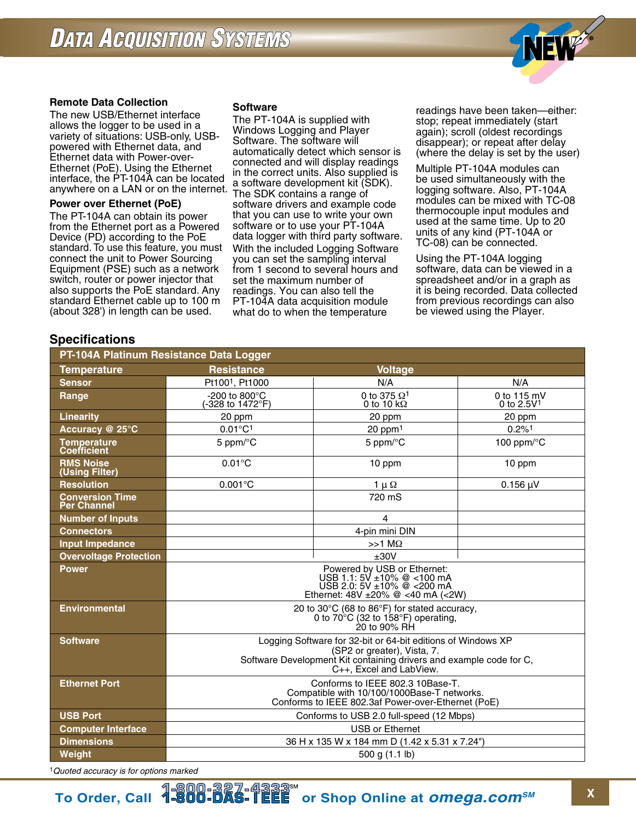

### **Remote Data Collection**

The new USB/Ethernet interface allows the logger to be used in a variety of situations: USB-only, USBpowered with Ethernet data, and Ethernet data with Power-over-Ethernet (PoE). Using the Ethernet interface, the PT-104A can be located anywhere on a LAN or on the internet.

#### **Power over Ethernet (PoE)**

The PT-104A can obtain its power from the Ethernet port as a Powered Device (PD) according to the PoE standard. To use this feature, you must connect the unit to Power Sourcing Equipment (PSE) such as a network switch, router or power injector that also supports the PoE standard. Any standard Ethernet cable up to 100 m (about 328') in length can be used.

#### **Software**

The PT-104A is supplied with Windows Logging and Player Software. The software will automatically detect which sensor is connected and will display readings in the correct units. Also supplied is a software development kit (SDK). The SDK contains a range of software drivers and example code that you can use to write your own software or to use your PT-104A data logger with third party software. With the included Logging Software you can set the sampling interval from 1 second to several hours and set the maximum number of readings. You can also tell the PT-104A data acquisition module what do to when the temperature

readings have been taken—either: stop; repeat immediately (start again); scroll (oldest recordings disappear); or repeat after delay (where the delay is set by the user)

Multiple PT-104A modules can be used simultaneously with the logging software. Also, PT-104A modules can be mixed with TC-08 thermocouple input modules and used at the same time. Up to 20 units of any kind (PT-104A or TC-08) can be connected.

Using the PT-104A logging software, data can be viewed in a spreadsheet and/or in a graph as it is being recorded. Data collected from previous recordings can also be viewed using the Player.

# **Specifications**

| PT-104A Platinum Resistance Data Logger      |                                                                                                                                                                                               |                                                      |                               |
|----------------------------------------------|-----------------------------------------------------------------------------------------------------------------------------------------------------------------------------------------------|------------------------------------------------------|-------------------------------|
| <b>Temperature</b>                           | <b>Resistance</b>                                                                                                                                                                             | <b>Voltage</b>                                       |                               |
| <b>Sensor</b>                                | Pt100 <sup>1</sup> , Pt1000                                                                                                                                                                   | N/A                                                  | N/A                           |
| Range                                        | -200 to 800 $^{\circ}$ C<br>-328 to 1472°F)                                                                                                                                                   | 0 to 375 $\Omega$ <sup>1</sup><br>0 to 10 k $\Omega$ | 0 to $115$ mV<br>0 to $2.5V1$ |
| <b>Linearity</b>                             | 20 ppm                                                                                                                                                                                        | 20 ppm                                               | 20 ppm                        |
| Accuracy @ 25°C                              | $0.01^{\circ}C^{1}$                                                                                                                                                                           | $20$ ppm $1$                                         | $0.2\%$ <sup>1</sup>          |
| <b>Temperature</b><br><b>Coefficient</b>     | 5 ppm/°C                                                                                                                                                                                      | 5 ppm/°C                                             | 100 ppm/°C                    |
| <b>RMS Noise</b><br>(Using Filter)           | $0.01^{\circ}$ C                                                                                                                                                                              | 10 ppm                                               | 10 ppm                        |
| <b>Resolution</b>                            | $0.001^{\circ}$ C                                                                                                                                                                             | $1 \mu \Omega$                                       | $0.156 \mu V$                 |
| <b>Conversion Time</b><br><b>Per Channel</b> |                                                                                                                                                                                               | 720 mS                                               |                               |
| <b>Number of Inputs</b>                      |                                                                                                                                                                                               | $\overline{4}$                                       |                               |
| <b>Connectors</b>                            |                                                                                                                                                                                               | 4-pin mini DIN                                       |                               |
| <b>Input Impedance</b>                       |                                                                                                                                                                                               | $>>1$ M $\Omega$                                     |                               |
| <b>Overvoltage Protection</b>                | ±30V                                                                                                                                                                                          |                                                      |                               |
| <b>Power</b>                                 | Powered by USB or Ethernet:<br>USB 1.1: 5V ±10% @ <100 mA<br>USB 2.0: $5V \pm 10\%$ @ <200 mA<br>Ethernet: $48V \pm 20\%$ @ <40 mA (<2W)                                                      |                                                      |                               |
| <b>Environmental</b>                         | 20 to 30°C (68 to 86°F) for stated accuracy,<br>0 to $70^{\circ}$ C (32 to 158 $^{\circ}$ F) operating,<br>20 to 90% RH                                                                       |                                                      |                               |
| <b>Software</b>                              | Logging Software for 32-bit or 64-bit editions of Windows XP<br>(SP2 or greater), Vista, 7.<br>Software Development Kit containing drivers and example code for C,<br>C++, Excel and LabView. |                                                      |                               |
| <b>Ethernet Port</b>                         | Conforms to IEEE 802.3 10Base-T.<br>Compatible with 10/100/1000Base-T networks.<br>Conforms to IEEE 802.3af Power-over-Ethernet (PoE)                                                         |                                                      |                               |
| <b>USB Port</b>                              | Conforms to USB 2.0 full-speed (12 Mbps)                                                                                                                                                      |                                                      |                               |
| <b>Computer Interface</b>                    | <b>USB or Ethernet</b>                                                                                                                                                                        |                                                      |                               |
| <b>Dimensions</b>                            | 36 H x 135 W x 184 mm D (1.42 x 5.31 x 7.24")                                                                                                                                                 |                                                      |                               |
| Weight                                       | 500 g (1.1 lb)                                                                                                                                                                                |                                                      |                               |

1*Quoted accuracy is for options marked*